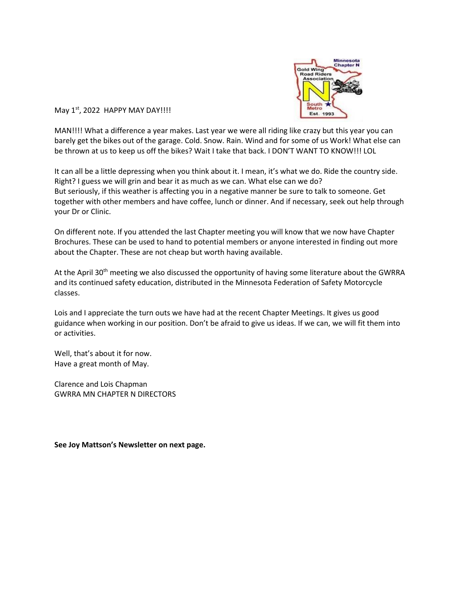

May  $1<sup>st</sup>$ , 2022 HAPPY MAY DAY!!!!

MAN!!!! What a difference a year makes. Last year we were all riding like crazy but this year you can barely get the bikes out of the garage. Cold. Snow. Rain. Wind and for some of us Work! What else can be thrown at us to keep us off the bikes? Wait I take that back. I DON'T WANT TO KNOW!!! LOL

It can all be a little depressing when you think about it. I mean, it's what we do. Ride the country side. Right? I guess we will grin and bear it as much as we can. What else can we do? But seriously, if this weather is affecting you in a negative manner be sure to talk to someone. Get together with other members and have coffee, lunch or dinner. And if necessary, seek out help through your Dr or Clinic.

On different note. If you attended the last Chapter meeting you will know that we now have Chapter Brochures. These can be used to hand to potential members or anyone interested in finding out more about the Chapter. These are not cheap but worth having available.

At the April 30<sup>th</sup> meeting we also discussed the opportunity of having some literature about the GWRRA and its continued safety education, distributed in the Minnesota Federation of Safety Motorcycle classes.

Lois and I appreciate the turn outs we have had at the recent Chapter Meetings. It gives us good guidance when working in our position. Don't be afraid to give us ideas. If we can, we will fit them into or activities.

Well, that's about it for now. Have a great month of May.

Clarence and Lois Chapman GWRRA MN CHAPTER N DIRECTORS

**See Joy Mattson's Newsletter on next page.**